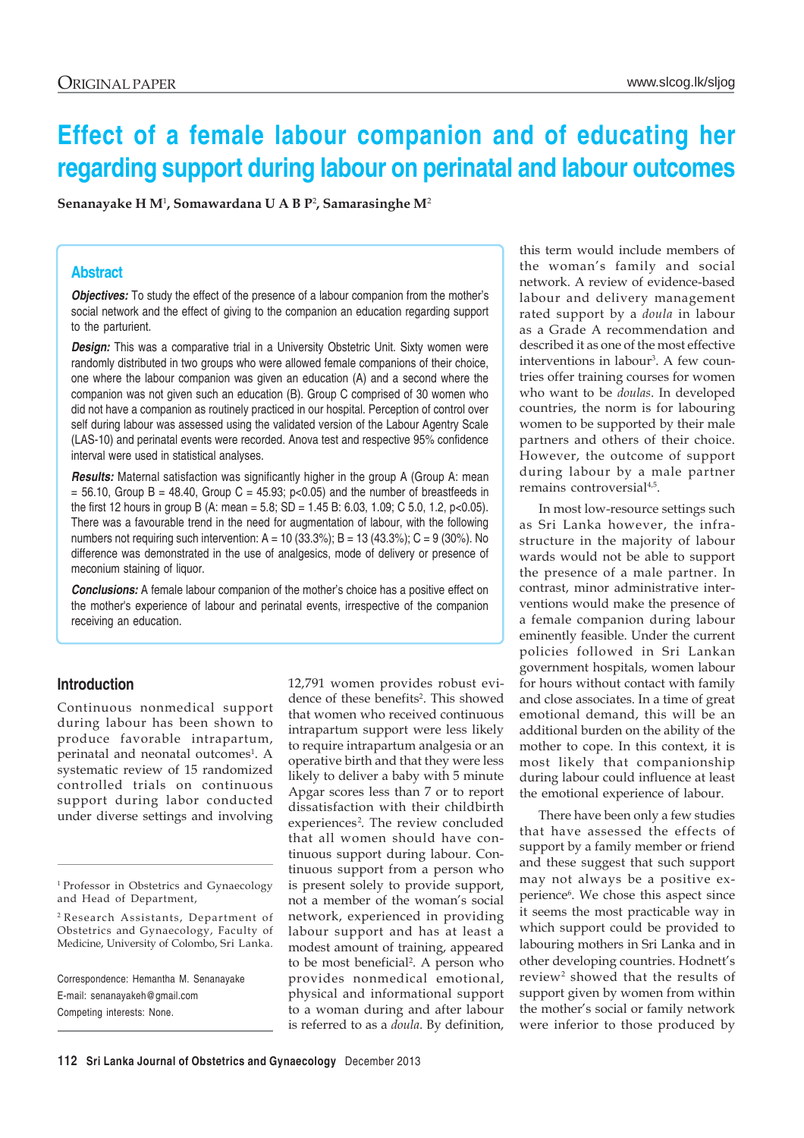# **Effect of a female labour companion and of educating her regarding support during labour on perinatal and labour outcomes**

**Senanayake H M**<sup>1</sup> **, Somawardana U A B P**<sup>2</sup> **, Samarasinghe M**<sup>2</sup>

#### **Abstract**

*Objectives:* To study the effect of the presence of a labour companion from the mother's social network and the effect of giving to the companion an education regarding support to the parturient.

**Design:** This was a comparative trial in a University Obstetric Unit. Sixty women were randomly distributed in two groups who were allowed female companions of their choice, one where the labour companion was given an education (A) and a second where the companion was not given such an education (B). Group C comprised of 30 women who did not have a companion as routinely practiced in our hospital. Perception of control over self during labour was assessed using the validated version of the Labour Agentry Scale (LAS-10) and perinatal events were recorded. Anova test and respective 95% confidence interval were used in statistical analyses.

**Results:** Maternal satisfaction was significantly higher in the group A (Group A: mean  $= 56.10$ , Group B = 48.40, Group C = 45.93; p<0.05) and the number of breastfeeds in the first 12 hours in group B (A: mean = 5.8; SD = 1.45 B: 6.03, 1.09; C 5.0, 1.2, p<0.05). There was a favourable trend in the need for augmentation of labour, with the following numbers not requiring such intervention: A = 10 (33.3%); B = 13 (43.3%); C = 9 (30%). No difference was demonstrated in the use of analgesics, mode of delivery or presence of meconium staining of liquor.

*Conclusions:* A female labour companion of the mother's choice has a positive effect on the mother's experience of labour and perinatal events, irrespective of the companion receiving an education.

## **Introduction**

Continuous nonmedical support during labour has been shown to produce favorable intrapartum, perinatal and neonatal outcomes<sup>1</sup>. A systematic review of 15 randomized controlled trials on continuous support during labor conducted under diverse settings and involving

<sup>1</sup> Professor in Obstetrics and Gynaecology and Head of Department,

2 Research Assistants, Department of Obstetrics and Gynaecology, Faculty of Medicine, University of Colombo, Sri Lanka.

Correspondence: Hemantha M. Senanayake E-mail: senanayakeh@gmail.com

Competing interests: None.

12,791 women provides robust evidence of these benefits<sup>2</sup>. This showed that women who received continuous intrapartum support were less likely to require intrapartum analgesia or an operative birth and that they were less likely to deliver a baby with 5 minute Apgar scores less than 7 or to report dissatisfaction with their childbirth experiences<sup>2</sup>. The review concluded that all women should have continuous support during labour. Continuous support from a person who is present solely to provide support, not a member of the woman's social network, experienced in providing labour support and has at least a modest amount of training, appeared to be most beneficial<sup>2</sup>. A person who provides nonmedical emotional, physical and informational support to a woman during and after labour is referred to as a *doula*. By definition,

this term would include members of the woman's family and social network. A review of evidence-based labour and delivery management rated support by a *doula* in labour as a Grade A recommendation and described it as one of the most effective interventions in labour<sup>3</sup>. A few countries offer training courses for women who want to be *doulas*. In developed countries, the norm is for labouring women to be supported by their male partners and others of their choice. However, the outcome of support during labour by a male partner remains controversial<sup>4,5</sup>.

In most low-resource settings such as Sri Lanka however, the infrastructure in the majority of labour wards would not be able to support the presence of a male partner. In contrast, minor administrative interventions would make the presence of a female companion during labour eminently feasible. Under the current policies followed in Sri Lankan government hospitals, women labour for hours without contact with family and close associates. In a time of great emotional demand, this will be an additional burden on the ability of the mother to cope. In this context, it is most likely that companionship during labour could influence at least the emotional experience of labour.

There have been only a few studies that have assessed the effects of support by a family member or friend and these suggest that such support may not always be a positive experience<sup>6</sup>. We chose this aspect since it seems the most practicable way in which support could be provided to labouring mothers in Sri Lanka and in other developing countries. Hodnett's review<sup>2</sup> showed that the results of support given by women from within the mother's social or family network were inferior to those produced by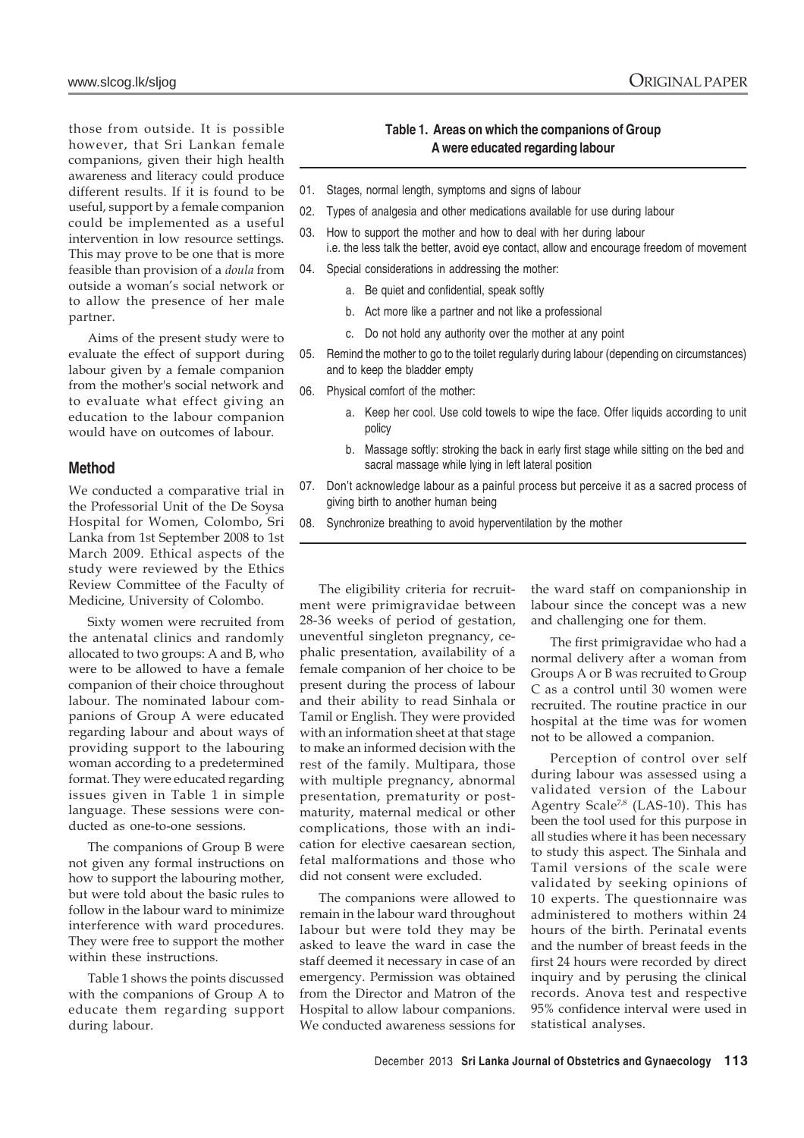those from outside. It is possible however, that Sri Lankan female companions, given their high health awareness and literacy could produce different results. If it is found to be useful, support by a female companion could be implemented as a useful intervention in low resource settings. This may prove to be one that is more feasible than provision of a *doula* from outside a woman's social network or to allow the presence of her male partner.

Aims of the present study were to evaluate the effect of support during labour given by a female companion from the mother's social network and to evaluate what effect giving an education to the labour companion would have on outcomes of labour.

# **Method**

We conducted a comparative trial in the Professorial Unit of the De Soysa Hospital for Women, Colombo, Sri Lanka from 1st September 2008 to 1st March 2009. Ethical aspects of the study were reviewed by the Ethics Review Committee of the Faculty of Medicine, University of Colombo.

Sixty women were recruited from the antenatal clinics and randomly allocated to two groups: A and B, who were to be allowed to have a female companion of their choice throughout labour. The nominated labour companions of Group A were educated regarding labour and about ways of providing support to the labouring woman according to a predetermined format. They were educated regarding issues given in Table 1 in simple language. These sessions were conducted as one-to-one sessions.

The companions of Group B were not given any formal instructions on how to support the labouring mother, but were told about the basic rules to follow in the labour ward to minimize interference with ward procedures. They were free to support the mother within these instructions.

Table 1 shows the points discussed with the companions of Group A to educate them regarding support during labour.

## **Table 1. Areas on which the companions of Group A were educated regarding labour**

- 01. Stages, normal length, symptoms and signs of labour
- 02. Types of analgesia and other medications available for use during labour
- 03. How to support the mother and how to deal with her during labour i.e. the less talk the better, avoid eye contact, allow and encourage freedom of movement
- 04. Special considerations in addressing the mother:
	- a. Be quiet and confidential, speak softly
	- b. Act more like a partner and not like a professional
	- c. Do not hold any authority over the mother at any point
- 05. Remind the mother to go to the toilet regularly during labour (depending on circumstances) and to keep the bladder empty
- 06. Physical comfort of the mother:
	- a. Keep her cool. Use cold towels to wipe the face. Offer liquids according to unit policy
	- b. Massage softly: stroking the back in early first stage while sitting on the bed and sacral massage while lying in left lateral position
- 07. Don't acknowledge labour as a painful process but perceive it as a sacred process of giving birth to another human being
- 08. Synchronize breathing to avoid hyperventilation by the mother

The eligibility criteria for recruitment were primigravidae between 28-36 weeks of period of gestation, uneventful singleton pregnancy, cephalic presentation, availability of a female companion of her choice to be present during the process of labour and their ability to read Sinhala or Tamil or English. They were provided with an information sheet at that stage to make an informed decision with the rest of the family. Multipara, those with multiple pregnancy, abnormal presentation, prematurity or postmaturity, maternal medical or other complications, those with an indication for elective caesarean section, fetal malformations and those who did not consent were excluded.

The companions were allowed to remain in the labour ward throughout labour but were told they may be asked to leave the ward in case the staff deemed it necessary in case of an emergency. Permission was obtained from the Director and Matron of the Hospital to allow labour companions. We conducted awareness sessions for the ward staff on companionship in labour since the concept was a new and challenging one for them.

The first primigravidae who had a normal delivery after a woman from Groups A or B was recruited to Group C as a control until 30 women were recruited. The routine practice in our hospital at the time was for women not to be allowed a companion.

Perception of control over self during labour was assessed using a validated version of the Labour Agentry Scale<sup>7,8</sup> (LAS-10). This has been the tool used for this purpose in all studies where it has been necessary to study this aspect. The Sinhala and Tamil versions of the scale were validated by seeking opinions of 10 experts. The questionnaire was administered to mothers within 24 hours of the birth. Perinatal events and the number of breast feeds in the first 24 hours were recorded by direct inquiry and by perusing the clinical records. Anova test and respective 95% confidence interval were used in statistical analyses.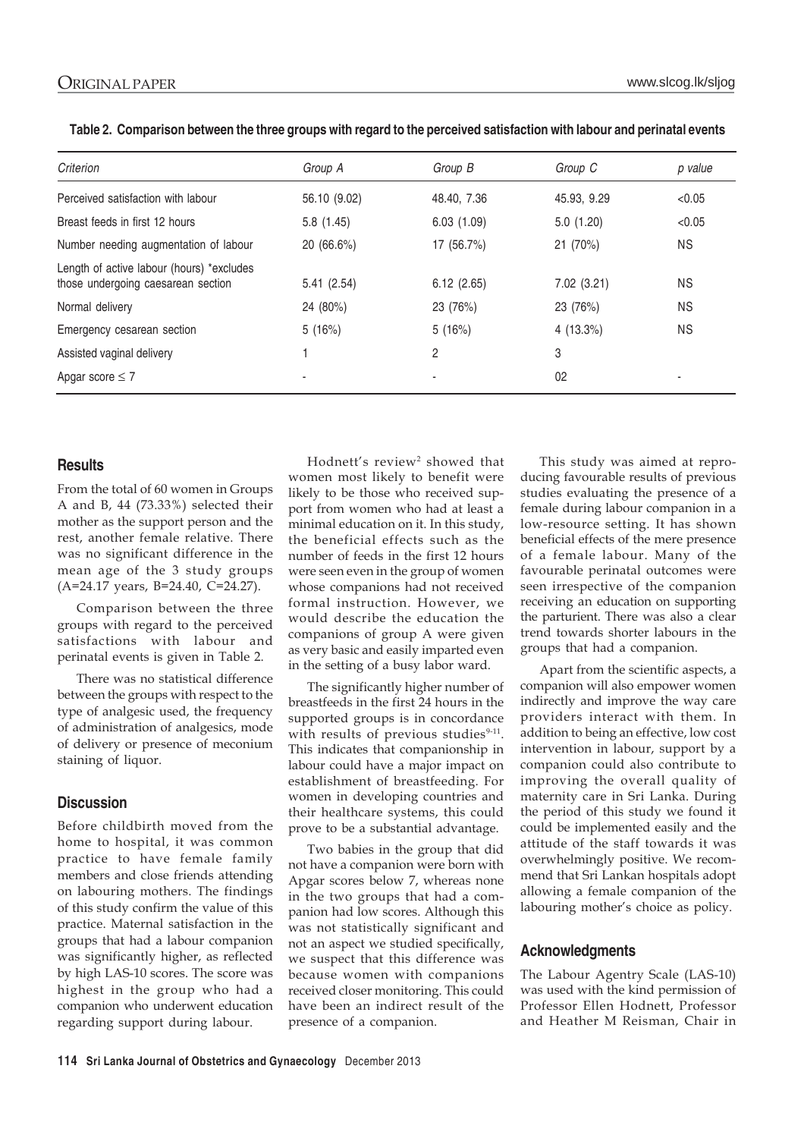| Criterion                                                                       | Group A                  | Group B        | Group C     | p value        |
|---------------------------------------------------------------------------------|--------------------------|----------------|-------------|----------------|
| Perceived satisfaction with labour                                              | 56.10 (9.02)             | 48.40, 7.36    | 45.93, 9.29 | < 0.05         |
| Breast feeds in first 12 hours                                                  | 5.8(1.45)                | 6.03(1.09)     | 5.0(1.20)   | < 0.05         |
| Number needing augmentation of labour                                           | 20 (66.6%)               | 17 (56.7%)     | 21 (70%)    | <b>NS</b>      |
| Length of active labour (hours) *excludes<br>those undergoing caesarean section | 5.41(2.54)               | 6.12(2.65)     | 7.02(3.21)  | <b>NS</b>      |
| Normal delivery                                                                 | 24 (80%)                 | 23 (76%)       | 23 (76%)    | <b>NS</b>      |
| Emergency cesarean section                                                      | 5(16%)                   | 5(16%)         | 4(13.3%)    | <b>NS</b>      |
| Assisted vaginal delivery                                                       |                          | $\overline{2}$ | 3           |                |
| Apgar score $\leq 7$                                                            | $\overline{\phantom{0}}$ | $\blacksquare$ | 02          | $\blacksquare$ |

|  |  |  |  | Table 2. Comparison between the three groups with regard to the perceived satisfaction with labour and perinatal events |
|--|--|--|--|-------------------------------------------------------------------------------------------------------------------------|
|--|--|--|--|-------------------------------------------------------------------------------------------------------------------------|

## **Results**

From the total of 60 women in Groups A and B, 44 (73.33%) selected their mother as the support person and the rest, another female relative. There was no significant difference in the mean age of the 3 study groups (A=24.17 years, B=24.40, C=24.27).

Comparison between the three groups with regard to the perceived satisfactions with labour and perinatal events is given in Table 2.

There was no statistical difference between the groups with respect to the type of analgesic used, the frequency of administration of analgesics, mode of delivery or presence of meconium staining of liquor.

## **Discussion**

Before childbirth moved from the home to hospital, it was common practice to have female family members and close friends attending on labouring mothers. The findings of this study confirm the value of this practice. Maternal satisfaction in the groups that had a labour companion was significantly higher, as reflected by high LAS-10 scores. The score was highest in the group who had a companion who underwent education regarding support during labour.

Hodnett's review<sup>2</sup> showed that women most likely to benefit were likely to be those who received support from women who had at least a minimal education on it. In this study, the beneficial effects such as the number of feeds in the first 12 hours were seen even in the group of women whose companions had not received formal instruction. However, we would describe the education the companions of group A were given as very basic and easily imparted even in the setting of a busy labor ward.

The significantly higher number of breastfeeds in the first 24 hours in the supported groups is in concordance with results of previous studies<sup>9-11</sup>. This indicates that companionship in labour could have a major impact on establishment of breastfeeding. For women in developing countries and their healthcare systems, this could prove to be a substantial advantage.

Two babies in the group that did not have a companion were born with Apgar scores below 7, whereas none in the two groups that had a companion had low scores. Although this was not statistically significant and not an aspect we studied specifically, we suspect that this difference was because women with companions received closer monitoring. This could have been an indirect result of the presence of a companion.

This study was aimed at reproducing favourable results of previous studies evaluating the presence of a female during labour companion in a low-resource setting. It has shown beneficial effects of the mere presence of a female labour. Many of the favourable perinatal outcomes were seen irrespective of the companion receiving an education on supporting the parturient. There was also a clear trend towards shorter labours in the groups that had a companion.

Apart from the scientific aspects, a companion will also empower women indirectly and improve the way care providers interact with them. In addition to being an effective, low cost intervention in labour, support by a companion could also contribute to improving the overall quality of maternity care in Sri Lanka. During the period of this study we found it could be implemented easily and the attitude of the staff towards it was overwhelmingly positive. We recommend that Sri Lankan hospitals adopt allowing a female companion of the labouring mother's choice as policy.

#### **Acknowledgments**

The Labour Agentry Scale (LAS-10) was used with the kind permission of Professor Ellen Hodnett, Professor and Heather M Reisman, Chair in